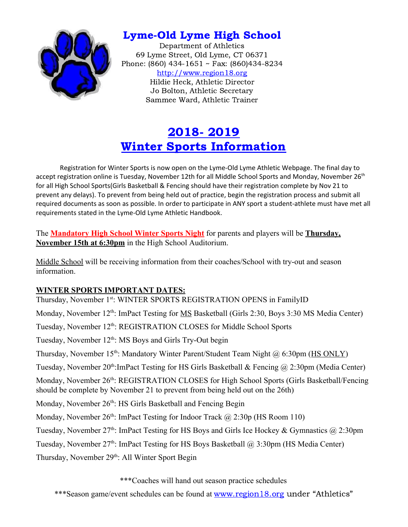

## Lyme-Old Lyme High School

Department of Athletics 69 Lyme Street, Old Lyme, CT 06371 Phone: (860) 434-1651 ~ Fax: (860)434-8234 [http://www.region18.org](http://www.region18.org/) Hildie Heck, Athletic Director Jo Bolton, Athletic Secretary Sammee Ward, Athletic Trainer

# 2018- 2019 Winter Sports Information

Registration for Winter Sports is now open on the Lyme-Old Lyme Athletic Webpage. The final day to accept registration online is Tuesday, November 12th for all Middle School Sports and Monday, November 26<sup>th</sup> for all High School Sports(Girls Basketball & Fencing should have their registration complete by Nov 21 to prevent any delays). To prevent from being held out of practice, begin the registration process and submit all required documents as soon as possible. In order to participate in ANY sport a student-athlete must have met all requirements stated in the Lyme-Old Lyme Athletic Handbook.

The **Mandatory High School Winter Sports Night** for parents and players will be **Thursday, November 15th at 6:30pm** in the High School Auditorium.

Middle School will be receiving information from their coaches/School with try-out and season information.

### **WINTER SPORTS IMPORTANT DATES:**

Thursday, November 1st: WINTER SPORTS REGISTRATION OPENS in FamilyID Monday, November 12<sup>th</sup>: ImPact Testing for **MS** Basketball (Girls 2:30, Boys 3:30 MS Media Center) Tuesday, November 12<sup>th</sup>: REGISTRATION CLOSES for Middle School Sports Tuesday, November 12<sup>th</sup>: MS Boys and Girls Try-Out begin Thursday, November 15<sup>th</sup>: Mandatory Winter Parent/Student Team Night @ 6:30pm (HS ONLY) Tuesday, November 20<sup>th</sup>: ImPact Testing for HS Girls Basketball & Fencing @ 2:30pm (Media Center) Monday, November 26<sup>th</sup>: REGISTRATION CLOSES for High School Sports (Girls Basketball/Fencing should be complete by November 21 to prevent from being held out on the 26th) Monday, November 26<sup>th</sup>: HS Girls Basketball and Fencing Begin Monday, November 26<sup>th</sup>: ImPact Testing for Indoor Track @ 2:30p (HS Room 110) Tuesday, November  $27<sup>th</sup>$ : ImPact Testing for HS Boys and Girls Ice Hockey & Gymnastics @ 2:30pm Tuesday, November 27<sup>th</sup>: ImPact Testing for HS Boys Basketball @ 3:30pm (HS Media Center) Thursday, November 29<sup>th</sup>: All Winter Sport Begin

\*\*\*Coaches will hand out season practice schedules

\*\*\*Season game/event schedules can be found at [www.region18.org](http://www.region18.org/) under "Athletics"